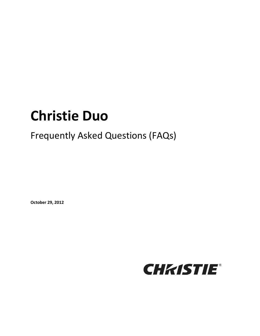# **Christie Duo**

# Frequently Asked Questions (FAQs)

**October 29, 2012**

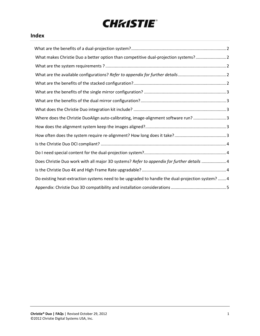# **CHKISTIE®**

### **Index**

| What makes Christie Duo a better option than competitive dual-projection systems? 2              |
|--------------------------------------------------------------------------------------------------|
|                                                                                                  |
|                                                                                                  |
|                                                                                                  |
|                                                                                                  |
|                                                                                                  |
|                                                                                                  |
| Where does the Christie DuoAlign auto-calibrating, image-alignment software run? 3               |
|                                                                                                  |
|                                                                                                  |
|                                                                                                  |
|                                                                                                  |
| Does Christie Duo work with all major 3D systems? Refer to appendix for further details  4       |
|                                                                                                  |
| Do existing heat-extraction systems need to be upgraded to handle the dual-projection system?  4 |
|                                                                                                  |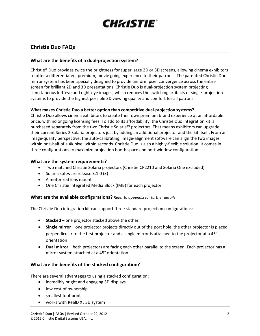

### **Christie Duo FAQs**

#### <span id="page-2-0"></span>**What are the benefits of a dual-projection system?**

Christie® Duo provides twice the brightness for super large 2D or 3D screens, allowing cinema exhibitors to offer a differentiated, premium, movie going experience to their patrons. The patented Christie Duo mirror system has been specially designed to provide uniform pixel convergence across the entire screen for brilliant 2D and 3D presentations. Christie Duo is dual-projection system projecting simultaneous left-eye and right-eye images, which reduces the switching artifacts of single-projection systems to provide the highest possible 3D viewing quality and comfort for all patrons.

#### <span id="page-2-1"></span>**What makes Christie Duo a better option than competitive dual-projection systems?**

Christie Duo allows cinema exhibitors to create their own premium brand experience at an affordable price, with no ongoing licensing fees. To add to its affordability, the Christie Duo integration kit is purchased separately from the two Christie Solaria™ projectors. That means exhibitors can upgrade their current Series 2 Solaria projectors just by adding an additional projector and the kit itself. From an image-quality perspective, the auto-calibrating, image-alignment software can align the two images within one-half of a 4K pixel within seconds. Christie Duo is also a highly-flexible solution. It comes in three configurations to maximize projection booth space and port window configuration.

#### <span id="page-2-2"></span>**What are the system requirements?**

- Two matched Christie Solaria projectors (Christie CP2210 and Solaria One excluded)
- Solaria software release 3.1.0 (3)
- A motorized lens mount
- One Christie Integrated Media Block (IMB) for each projector

#### <span id="page-2-3"></span>**What are the available configurations?** *Refer to appendix for further details*

The Christie Duo integration kit can support three standard projection configurations:

- **Stacked** one projector stacked above the other
- **Single mirror** one projector projects directly out of the port hole, the other projector is placed perpendicular to the first projector and a single mirror is attached to the projector at a 45° orientation
- **Dual mirror** both projectors are facing each other parallel to the screen. Each projector has a mirror system attached at a 45° orientation

#### <span id="page-2-4"></span>**What are the benefits of the stacked configuration?**

There are several advantages to using a stacked configuration:

- incredibly bright and engaging 3D displays
- low cost of ownership
- smallest foot print
- works with RealD XL 3D system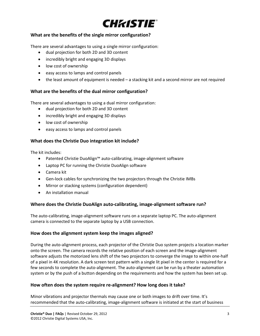

#### <span id="page-3-0"></span>**What are the benefits of the single mirror configuration?**

There are several advantages to using a single mirror configuration:

- dual projection for both 2D and 3D content
- incredibly bright and engaging 3D displays
- low cost of ownership
- easy access to lamps and control panels
- the least amount of equipment is needed a stacking kit and a second mirror are not required

#### <span id="page-3-1"></span>**What are the benefits of the dual mirror configuration?**

There are several advantages to using a dual mirror configuration:

- dual projection for both 2D and 3D content
- incredibly bright and engaging 3D displays
- low cost of ownership
- easy access to lamps and control panels

#### <span id="page-3-2"></span>**What does the Christie Duo integration kit include?**

The kit includes:

- Patented Christie DuoAlign™ auto-calibrating, image-alignment software
- Laptop PC for running the Christie DuoAlign software
- Camera kit
- Gen-lock cables for synchronizing the two projectors through the Christie IMBs
- Mirror or stacking systems (configuration dependent)
- An installation manual

#### <span id="page-3-3"></span>**Where does the Christie DuoAlign auto-calibrating, image-alignment software run?**

The auto-calibrating, image-alignment software runs on a separate laptop PC. The auto-alignment camera is connected to the separate laptop by a USB connection.

#### <span id="page-3-4"></span>**How does the alignment system keep the images aligned?**

During the auto-alignment process, each projector of the Christie Duo system projects a location marker onto the screen. The camera records the relative position of each screen and the image-alignment software adjusts the motorized lens shift of the two projectors to converge the image to within one-half of a pixel in 4K resolution. A dark screen test pattern with a single lit pixel in the center is required for a few seconds to complete the auto-alignment. The auto-alignment can be run by a theater automation system or by the push of a button depending on the requirements and how the system has been set up.

#### <span id="page-3-5"></span>**How often does the system require re-alignment? How long does it take?**

Minor vibrations and projector thermals may cause one or both images to drift over time. It's recommended that the auto-calibrating, image-alignment software is initiated at the start of business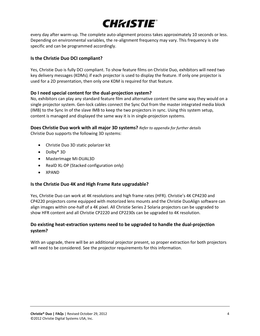

every day after warm-up. The complete auto-alignment process takes approximately 10 seconds or less. Depending on environmental variables, the re-alignment frequency may vary. This frequency is site specific and can be programmed accordingly.

#### <span id="page-4-0"></span>**Is the Christie Duo DCI compliant?**

Yes, Christie Duo is fully DCI compliant. To show feature films on Christie Duo, exhibitors will need two key delivery messages (KDMs), if each projector is used to display the feature. If only one projector is used for a 2D presentation, then only one KDM is required for that feature.

#### <span id="page-4-1"></span>**Do I need special content for the dual-projection system?**

No, exhibitors can play any standard feature film and alternative content the same way they would on a single projector system. Gen-lock cables connect the Sync Out from the master integrated media block (IMB) to the Sync In of the slave IMB to keep the two projectors in sync. Using this system setup, content is managed and displayed the same way it is in single-projection systems.

<span id="page-4-2"></span>**Does Christie Duo work with all major 3D systems?** *Refer to appendix for further details*

Christie Duo supports the following 3D systems:

- Christie Duo 3D static polarizer kit
- Dolby® 3D
- MasterImage MI-DUAL3D
- RealD XL-DP (Stacked configuration only)
- XPAND

#### <span id="page-4-3"></span>**Is the Christie Duo 4K and High Frame Rate upgradable?**

Yes, Christie Duo can work at 4K resolutions and high frame rates (HFR). Christie's 4K CP4230 and CP4220 projectors come equipped with motorized lens mounts and the Christie DuoAlign software can align images within one-half of a 4K pixel. All Christie Series 2 Solaria projectors can be upgraded to show HFR content and all Christie CP2220 and CP2230s can be upgraded to 4K resolution.

#### <span id="page-4-4"></span>**Do existing heat-extraction systems need to be upgraded to handle the dual-projection system?**

With an upgrade, there will be an additional projector present, so proper extraction for both projectors will need to be considered. See the projector requirements for this information.